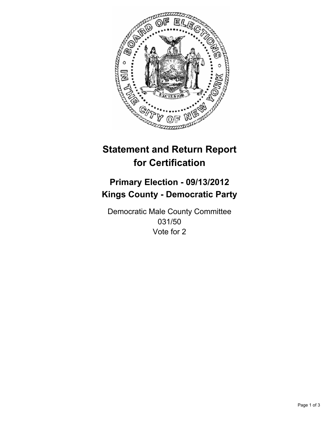

# **Statement and Return Report for Certification**

## **Primary Election - 09/13/2012 Kings County - Democratic Party**

Democratic Male County Committee 031/50 Vote for 2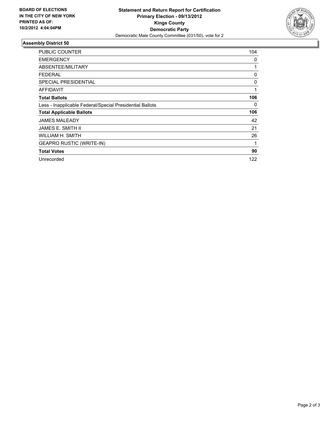

### **Assembly District 50**

| <b>PUBLIC COUNTER</b>                                    | 104 |
|----------------------------------------------------------|-----|
| <b>EMERGENCY</b>                                         | 0   |
| ABSENTEE/MILITARY                                        | 1   |
| FEDERAL                                                  | 0   |
| <b>SPECIAL PRESIDENTIAL</b>                              | 0   |
| <b>AFFIDAVIT</b>                                         | 1   |
| <b>Total Ballots</b>                                     | 106 |
| Less - Inapplicable Federal/Special Presidential Ballots | 0   |
| <b>Total Applicable Ballots</b>                          | 106 |
| <b>JAMES MALEADY</b>                                     | 42  |
| JAMES E. SMITH II                                        | 21  |
| WILLIAM H. SMITH                                         | 26  |
| <b>GEAPRO RUSTIC (WRITE-IN)</b>                          | 1   |
| <b>Total Votes</b>                                       | 90  |
| Unrecorded                                               | 122 |